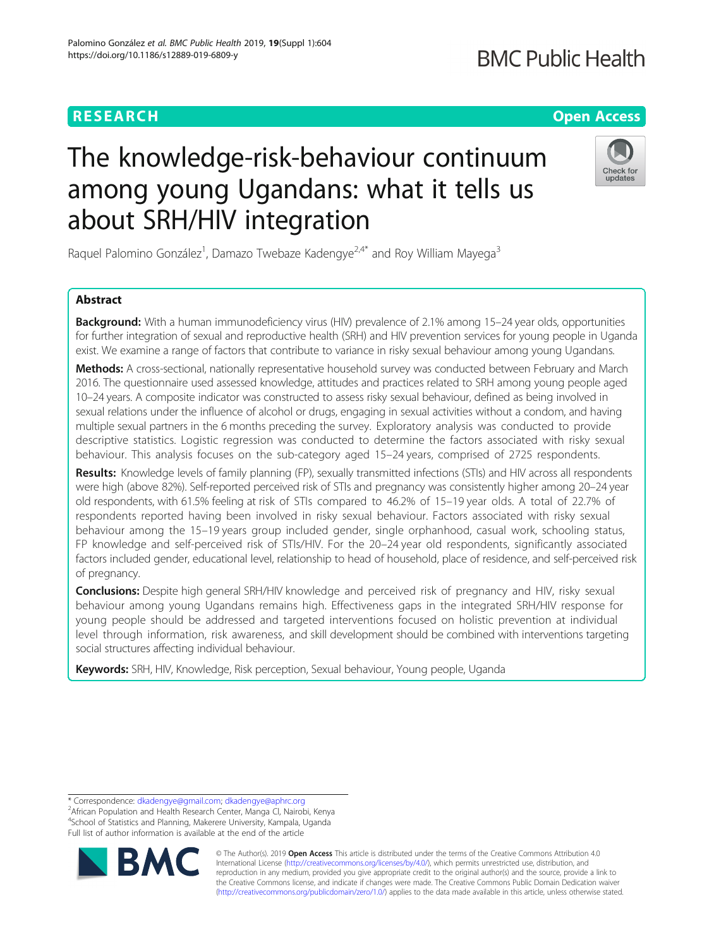about SRH/HIV integration

## **RESEARCH CHEAR CHEAR CHEAR CHEAR CHEAR CHEAP CONTROL**

# **BMC Public Health**

## Check for undates

Raquel Palomino González<sup>1</sup>, Damazo Twebaze Kadengye<sup>2,4\*</sup> and Roy William Mayega<sup>3</sup>

The knowledge-risk-behaviour continuum

among young Ugandans: what it tells us

## Abstract

Background: With a human immunodeficiency virus (HIV) prevalence of 2.1% among 15–24 year olds, opportunities for further integration of sexual and reproductive health (SRH) and HIV prevention services for young people in Uganda exist. We examine a range of factors that contribute to variance in risky sexual behaviour among young Ugandans.

Methods: A cross-sectional, nationally representative household survey was conducted between February and March 2016. The questionnaire used assessed knowledge, attitudes and practices related to SRH among young people aged 10–24 years. A composite indicator was constructed to assess risky sexual behaviour, defined as being involved in sexual relations under the influence of alcohol or drugs, engaging in sexual activities without a condom, and having multiple sexual partners in the 6 months preceding the survey. Exploratory analysis was conducted to provide descriptive statistics. Logistic regression was conducted to determine the factors associated with risky sexual behaviour. This analysis focuses on the sub-category aged 15–24 years, comprised of 2725 respondents.

Results: Knowledge levels of family planning (FP), sexually transmitted infections (STIs) and HIV across all respondents were high (above 82%). Self-reported perceived risk of STIs and pregnancy was consistently higher among 20–24 year old respondents, with 61.5% feeling at risk of STIs compared to 46.2% of 15–19 year olds. A total of 22.7% of respondents reported having been involved in risky sexual behaviour. Factors associated with risky sexual behaviour among the 15–19 years group included gender, single orphanhood, casual work, schooling status, FP knowledge and self-perceived risk of STIs/HIV. For the 20–24 year old respondents, significantly associated factors included gender, educational level, relationship to head of household, place of residence, and self-perceived risk of pregnancy.

**Conclusions:** Despite high general SRH/HIV knowledge and perceived risk of pregnancy and HIV, risky sexual behaviour among young Ugandans remains high. Effectiveness gaps in the integrated SRH/HIV response for young people should be addressed and targeted interventions focused on holistic prevention at individual level through information, risk awareness, and skill development should be combined with interventions targeting social structures affecting individual behaviour.

Keywords: SRH, HIV, Knowledge, Risk perception, Sexual behaviour, Young people, Uganda

<sup>&</sup>lt;sup>2</sup> African Population and Health Research Center, Manga Cl, Nairobi, Kenya 4 School of Statistics and Planning, Makerere University, Kampala, Uganda Full list of author information is available at the end of the article



© The Author(s). 2019 **Open Access** This article is distributed under the terms of the Creative Commons Attribution 4.0 International License [\(http://creativecommons.org/licenses/by/4.0/](http://creativecommons.org/licenses/by/4.0/)), which permits unrestricted use, distribution, and reproduction in any medium, provided you give appropriate credit to the original author(s) and the source, provide a link to the Creative Commons license, and indicate if changes were made. The Creative Commons Public Domain Dedication waiver [\(http://creativecommons.org/publicdomain/zero/1.0/](http://creativecommons.org/publicdomain/zero/1.0/)) applies to the data made available in this article, unless otherwise stated.

<sup>\*</sup> Correspondence: [dkadengye@gmail.com](mailto:dkadengye@gmail.com); [dkadengye@aphrc.org](mailto:dkadengye@aphrc.org) <sup>2</sup>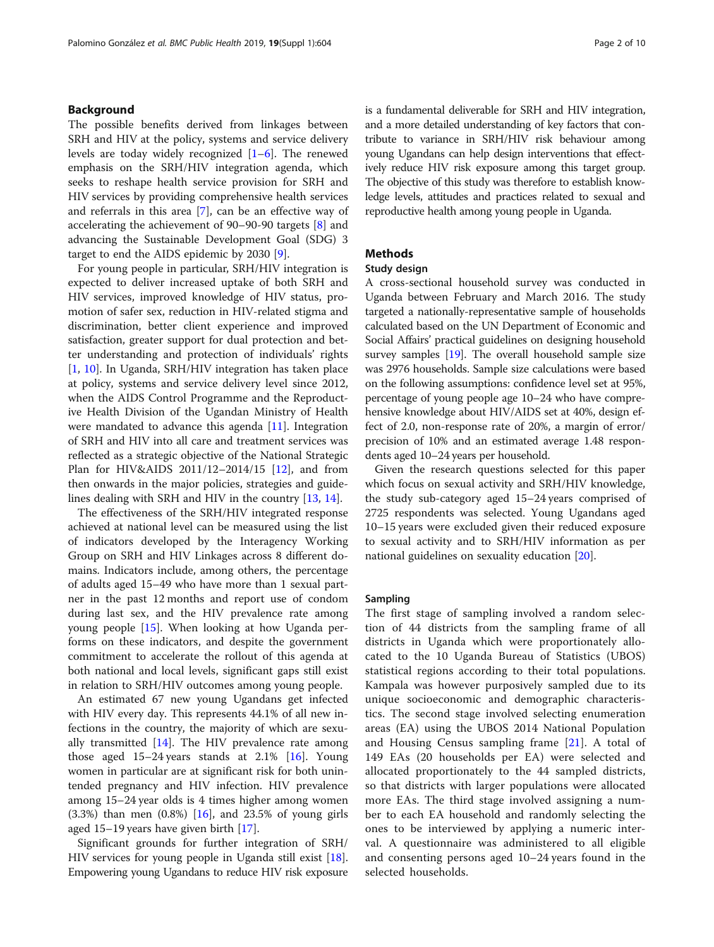## Background

The possible benefits derived from linkages between SRH and HIV at the policy, systems and service delivery levels are today widely recognized  $[1-6]$  $[1-6]$  $[1-6]$  $[1-6]$ . The renewed emphasis on the SRH/HIV integration agenda, which seeks to reshape health service provision for SRH and HIV services by providing comprehensive health services and referrals in this area [[7\]](#page-8-0), can be an effective way of accelerating the achievement of 90–90-90 targets [\[8](#page-8-0)] and advancing the Sustainable Development Goal (SDG) 3 target to end the AIDS epidemic by 2030 [[9](#page-8-0)].

For young people in particular, SRH/HIV integration is expected to deliver increased uptake of both SRH and HIV services, improved knowledge of HIV status, promotion of safer sex, reduction in HIV-related stigma and discrimination, better client experience and improved satisfaction, greater support for dual protection and better understanding and protection of individuals' rights [[1,](#page-7-0) [10\]](#page-8-0). In Uganda, SRH/HIV integration has taken place at policy, systems and service delivery level since 2012, when the AIDS Control Programme and the Reproductive Health Division of the Ugandan Ministry of Health were mandated to advance this agenda [\[11](#page-8-0)]. Integration of SRH and HIV into all care and treatment services was reflected as a strategic objective of the National Strategic Plan for HIV&AIDS 2011/12–2014/15 [[12\]](#page-8-0), and from then onwards in the major policies, strategies and guidelines dealing with SRH and HIV in the country [[13,](#page-8-0) [14\]](#page-8-0).

The effectiveness of the SRH/HIV integrated response achieved at national level can be measured using the list of indicators developed by the Interagency Working Group on SRH and HIV Linkages across 8 different domains. Indicators include, among others, the percentage of adults aged 15–49 who have more than 1 sexual partner in the past 12 months and report use of condom during last sex, and the HIV prevalence rate among young people [[15](#page-8-0)]. When looking at how Uganda performs on these indicators, and despite the government commitment to accelerate the rollout of this agenda at both national and local levels, significant gaps still exist in relation to SRH/HIV outcomes among young people.

An estimated 67 new young Ugandans get infected with HIV every day. This represents 44.1% of all new infections in the country, the majority of which are sexually transmitted [[14](#page-8-0)]. The HIV prevalence rate among those aged  $15-24$  years stands at  $2.1\%$  [[16\]](#page-8-0). Young women in particular are at significant risk for both unintended pregnancy and HIV infection. HIV prevalence among 15–24 year olds is 4 times higher among women (3.3%) than men (0.8%) [\[16](#page-8-0)], and 23.5% of young girls aged 15–19 years have given birth [\[17](#page-8-0)].

Significant grounds for further integration of SRH/ HIV services for young people in Uganda still exist [\[18](#page-8-0)]. Empowering young Ugandans to reduce HIV risk exposure is a fundamental deliverable for SRH and HIV integration, and a more detailed understanding of key factors that contribute to variance in SRH/HIV risk behaviour among young Ugandans can help design interventions that effectively reduce HIV risk exposure among this target group. The objective of this study was therefore to establish knowledge levels, attitudes and practices related to sexual and reproductive health among young people in Uganda.

## Methods

## Study design

A cross-sectional household survey was conducted in Uganda between February and March 2016. The study targeted a nationally-representative sample of households calculated based on the UN Department of Economic and Social Affairs' practical guidelines on designing household survey samples [\[19](#page-8-0)]. The overall household sample size was 2976 households. Sample size calculations were based on the following assumptions: confidence level set at 95%, percentage of young people age 10–24 who have comprehensive knowledge about HIV/AIDS set at 40%, design effect of 2.0, non-response rate of 20%, a margin of error/ precision of 10% and an estimated average 1.48 respondents aged 10–24 years per household.

Given the research questions selected for this paper which focus on sexual activity and SRH/HIV knowledge, the study sub-category aged 15–24 years comprised of 2725 respondents was selected. Young Ugandans aged 10–15 years were excluded given their reduced exposure to sexual activity and to SRH/HIV information as per national guidelines on sexuality education [\[20](#page-8-0)].

## Sampling

The first stage of sampling involved a random selection of 44 districts from the sampling frame of all districts in Uganda which were proportionately allocated to the 10 Uganda Bureau of Statistics (UBOS) statistical regions according to their total populations. Kampala was however purposively sampled due to its unique socioeconomic and demographic characteristics. The second stage involved selecting enumeration areas (EA) using the UBOS 2014 National Population and Housing Census sampling frame [\[21](#page-8-0)]. A total of 149 EAs (20 households per EA) were selected and allocated proportionately to the 44 sampled districts, so that districts with larger populations were allocated more EAs. The third stage involved assigning a number to each EA household and randomly selecting the ones to be interviewed by applying a numeric interval. A questionnaire was administered to all eligible and consenting persons aged 10–24 years found in the selected households.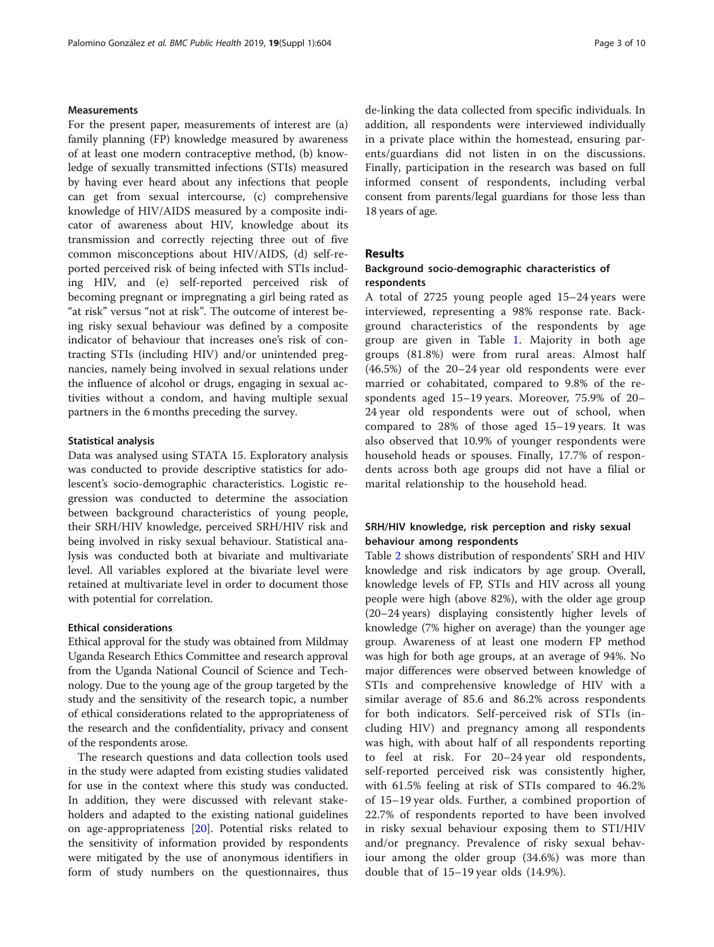## **Measurements**

For the present paper, measurements of interest are (a) family planning (FP) knowledge measured by awareness of at least one modern contraceptive method, (b) knowledge of sexually transmitted infections (STIs) measured by having ever heard about any infections that people can get from sexual intercourse, (c) comprehensive knowledge of HIV/AIDS measured by a composite indicator of awareness about HIV, knowledge about its transmission and correctly rejecting three out of five common misconceptions about HIV/AIDS, (d) self-reported perceived risk of being infected with STIs including HIV, and (e) self-reported perceived risk of becoming pregnant or impregnating a girl being rated as "at risk" versus "not at risk". The outcome of interest being risky sexual behaviour was defined by a composite indicator of behaviour that increases one's risk of contracting STIs (including HIV) and/or unintended pregnancies, namely being involved in sexual relations under the influence of alcohol or drugs, engaging in sexual activities without a condom, and having multiple sexual partners in the 6 months preceding the survey.

### Statistical analysis

Data was analysed using STATA 15. Exploratory analysis was conducted to provide descriptive statistics for adolescent's socio-demographic characteristics. Logistic regression was conducted to determine the association between background characteristics of young people, their SRH/HIV knowledge, perceived SRH/HIV risk and being involved in risky sexual behaviour. Statistical analysis was conducted both at bivariate and multivariate level. All variables explored at the bivariate level were retained at multivariate level in order to document those with potential for correlation.

## Ethical considerations

Ethical approval for the study was obtained from Mildmay Uganda Research Ethics Committee and research approval from the Uganda National Council of Science and Technology. Due to the young age of the group targeted by the study and the sensitivity of the research topic, a number of ethical considerations related to the appropriateness of the research and the confidentiality, privacy and consent of the respondents arose.

The research questions and data collection tools used in the study were adapted from existing studies validated for use in the context where this study was conducted. In addition, they were discussed with relevant stakeholders and adapted to the existing national guidelines on age-appropriateness [[20](#page-8-0)]. Potential risks related to the sensitivity of information provided by respondents were mitigated by the use of anonymous identifiers in form of study numbers on the questionnaires, thus de-linking the data collected from specific individuals. In addition, all respondents were interviewed individually in a private place within the homestead, ensuring parents/guardians did not listen in on the discussions. Finally, participation in the research was based on full informed consent of respondents, including verbal consent from parents/legal guardians for those less than 18 years of age.

## Results

## Background socio-demographic characteristics of respondents

A total of 2725 young people aged 15–24 years were interviewed, representing a 98% response rate. Background characteristics of the respondents by age group are given in Table [1](#page-3-0). Majority in both age groups (81.8%) were from rural areas. Almost half (46.5%) of the 20–24 year old respondents were ever married or cohabitated, compared to 9.8% of the respondents aged 15–19 years. Moreover, 75.9% of 20– 24 year old respondents were out of school, when compared to 28% of those aged 15–19 years. It was also observed that 10.9% of younger respondents were household heads or spouses. Finally, 17.7% of respondents across both age groups did not have a filial or marital relationship to the household head.

## SRH/HIV knowledge, risk perception and risky sexual behaviour among respondents

Table [2](#page-3-0) shows distribution of respondents' SRH and HIV knowledge and risk indicators by age group. Overall, knowledge levels of FP, STIs and HIV across all young people were high (above 82%), with the older age group (20–24 years) displaying consistently higher levels of knowledge (7% higher on average) than the younger age group. Awareness of at least one modern FP method was high for both age groups, at an average of 94%. No major differences were observed between knowledge of STIs and comprehensive knowledge of HIV with a similar average of 85.6 and 86.2% across respondents for both indicators. Self-perceived risk of STIs (including HIV) and pregnancy among all respondents was high, with about half of all respondents reporting to feel at risk. For 20–24 year old respondents, self-reported perceived risk was consistently higher, with 61.5% feeling at risk of STIs compared to 46.2% of 15–19 year olds. Further, a combined proportion of 22.7% of respondents reported to have been involved in risky sexual behaviour exposing them to STI/HIV and/or pregnancy. Prevalence of risky sexual behaviour among the older group (34.6%) was more than double that of 15–19 year olds (14.9%).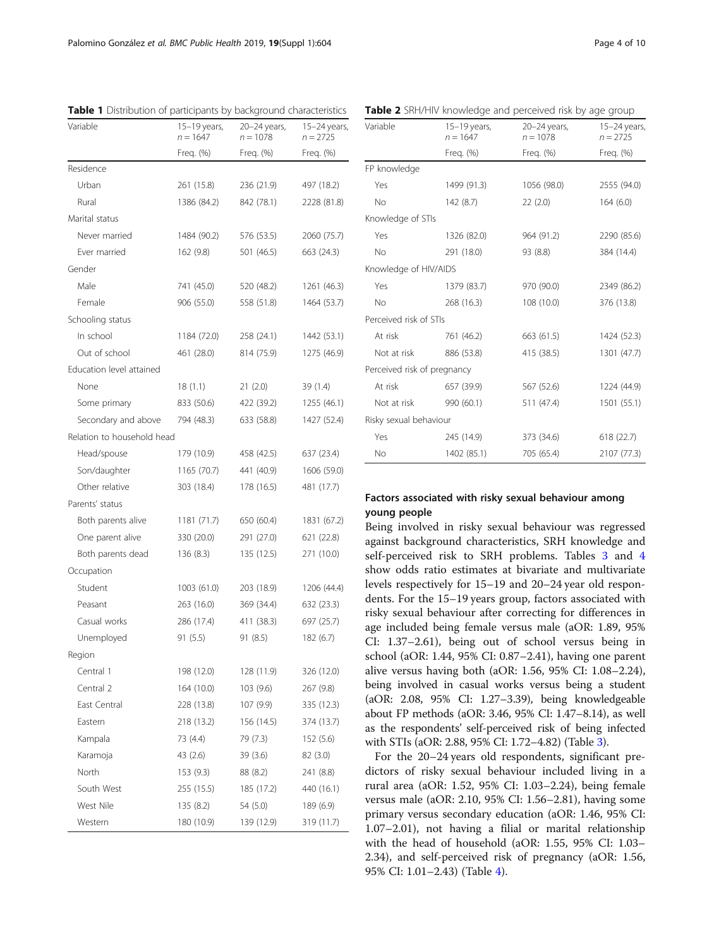| Variable                   | 15-19 years,<br>$n = 1647$ | 20–24 years,<br>$n = 1078$ | 15-24 years<br>$n = 2725$ |
|----------------------------|----------------------------|----------------------------|---------------------------|
|                            | Freq. (%)                  | Freq. (%)                  | Freq. (%)                 |
| Residence                  |                            |                            |                           |
| Urban                      | 261 (15.8)                 | 236 (21.9)                 | 497 (18.2)                |
| Rural                      | 1386 (84.2)                | 842 (78.1)                 | 2228 (81.8)               |
| Marital status             |                            |                            |                           |
| Never married              | 1484 (90.2)                | 576 (53.5)                 | 2060 (75.7)               |
| Ever married               | 162 (9.8)                  | 501 (46.5)                 | 663 (24.3)                |
| Gender                     |                            |                            |                           |
| Male                       | 741 (45.0)                 | 520 (48.2)                 | 1261 (46.3)               |
| Female                     | 906 (55.0)                 | 558 (51.8)                 | 1464 (53.7)               |
| Schooling status           |                            |                            |                           |
| In school                  | 1184 (72.0)                | 258 (24.1)                 | 1442 (53.1)               |
| Out of school              | 461 (28.0)                 | 814 (75.9)                 | 1275 (46.9)               |
| Education level attained   |                            |                            |                           |
| None                       | 18 (1.1)                   | 21(2.0)                    | 39 (1.4)                  |
| Some primary               | 833 (50.6)                 | 422 (39.2)                 | 1255 (46.1)               |
| Secondary and above        | 794 (48.3)                 | 633 (58.8)                 | 1427 (52.4)               |
| Relation to household head |                            |                            |                           |
| Head/spouse                | 179 (10.9)                 | 458 (42.5)                 | 637 (23.4)                |
| Son/daughter               | 1165 (70.7)                | 441 (40.9)                 | 1606 (59.0)               |
| Other relative             | 303 (18.4)                 | 178 (16.5)                 | 481 (17.7)                |
| Parents' status            |                            |                            |                           |
| Both parents alive         | 1181 (71.7)                | 650 (60.4)                 | 1831 (67.2)               |
| One parent alive           | 330 (20.0)                 | 291 (27.0)                 | 621 (22.8)                |
| Both parents dead          | 136 (8.3)                  | 135 (12.5)                 | 271 (10.0)                |
| Occupation                 |                            |                            |                           |
| Student                    | 1003 (61.0)                | 203 (18.9)                 | 1206 (44.4)               |
| Peasant                    | 263 (16.0)                 | 369 (34.4)                 | 632 (23.3)                |
| Casual works               | 286 (17.4)                 | 411 (38.3)                 | 697 (25.7)                |
| Unemployed                 | 91 (5.5)                   | 91 (8.5)                   | 182 (6.7)                 |
| Region                     |                            |                            |                           |
| Central 1                  | 198 (12.0)                 | 128 (11.9)                 | 326 (12.0)                |
| Central 2                  | 164 (10.0)                 | 103(9.6)                   | 267 (9.8)                 |
| East Central               | 228 (13.8)                 | 107 (9.9)                  | 335 (12.3)                |
| Eastern                    | 218 (13.2)                 | 156 (14.5)                 | 374 (13.7)                |
| Kampala                    | 73 (4.4)                   | 79 (7.3)                   | 152(5.6)                  |
| Karamoja                   | 43 (2.6)                   | 39 (3.6)                   | 82 (3.0)                  |
| <b>North</b>               | 153 (9.3)                  | 88 (8.2)                   | 241 (8.8)                 |
| South West                 | 255 (15.5)                 | 185 (17.2)                 | 440 (16.1)                |
| West Nile                  | 135 (8.2)                  | 54 (5.0)                   | 189 (6.9)                 |
| Western                    | 180 (10.9)                 | 139 (12.9)                 | 319 (11.7)                |

<span id="page-3-0"></span>Table 1 Distribution of participants by background characteristics

|                             | $n = 1647$  | $n = 1078$  | $n = 2725$  |
|-----------------------------|-------------|-------------|-------------|
|                             | Freq. (%)   | Freq. (%)   | Freq. (%)   |
| FP knowledge                |             |             |             |
| Yes                         | 1499 (91.3) | 1056 (98.0) | 2555 (94.0) |
| N <sub>o</sub>              | 142(8.7)    | 22(2.0)     | 164(6.0)    |
| Knowledge of STIs           |             |             |             |
| Yes                         | 1326 (82.0) | 964 (91.2)  | 2290 (85.6) |
| No                          | 291 (18.0)  | 93 (8.8)    | 384 (14.4)  |
| Knowledge of HIV/AIDS       |             |             |             |
| Yes                         | 1379 (83.7) | 970 (90.0)  | 2349 (86.2) |
| <b>No</b>                   | 268 (16.3)  | 108 (10.0)  | 376 (13.8)  |
| Perceived risk of STIs      |             |             |             |
| At risk                     | 761 (46.2)  | 663 (61.5)  | 1424 (52.3) |
| Not at risk                 | 886 (53.8)  | 415 (38.5)  | 1301 (47.7) |
| Perceived risk of pregnancy |             |             |             |
| At risk                     | 657 (39.9)  | 567 (52.6)  | 1224 (44.9) |
| Not at risk                 | 990 (60.1)  | 511 (47.4)  | 1501 (55.1) |
| Risky sexual behaviour      |             |             |             |
| Yes                         | 245 (14.9)  | 373 (34.6)  | 618 (22.7)  |
| No                          | 1402 (85.1) | 705 (65.4)  | 2107 (77.3) |

## Table 2 SRH/HIV knowledge and perceived risk by age group

20–24 years,

Variable 15–19 years,

## Factors associated with risky sexual behaviour among young people

Being involved in risky sexual behaviour was regressed against background characteristics, SRH knowledge and self-perceived risk to SRH problems. Tables [3](#page-4-0) and [4](#page-5-0) show odds ratio estimates at bivariate and multivariate levels respectively for 15–19 and 20–24 year old respondents. For the 15–19 years group, factors associated with risky sexual behaviour after correcting for differences in age included being female versus male (aOR: 1.89, 95% CI: 1.37–2.61), being out of school versus being in school (aOR: 1.44, 95% CI: 0.87–2.41), having one parent alive versus having both (aOR: 1.56, 95% CI: 1.08–2.24), being involved in casual works versus being a student (aOR: 2.08, 95% CI: 1.27–3.39), being knowledgeable about FP methods (aOR: 3.46, 95% CI: 1.47–8.14), as well as the respondents' self-perceived risk of being infected with STIs (aOR: 2.88, 95% CI: 1.72–4.82) (Table [3\)](#page-4-0).

For the 20–24 years old respondents, significant predictors of risky sexual behaviour included living in a rural area (aOR: 1.52, 95% CI: 1.03–2.24), being female versus male (aOR: 2.10, 95% CI: 1.56–2.81), having some primary versus secondary education (aOR: 1.46, 95% CI: 1.07–2.01), not having a filial or marital relationship with the head of household (aOR: 1.55, 95% CI: 1.03– 2.34), and self-perceived risk of pregnancy (aOR: 1.56, 95% CI: 1.01–2.43) (Table [4](#page-5-0)).

15–24 years,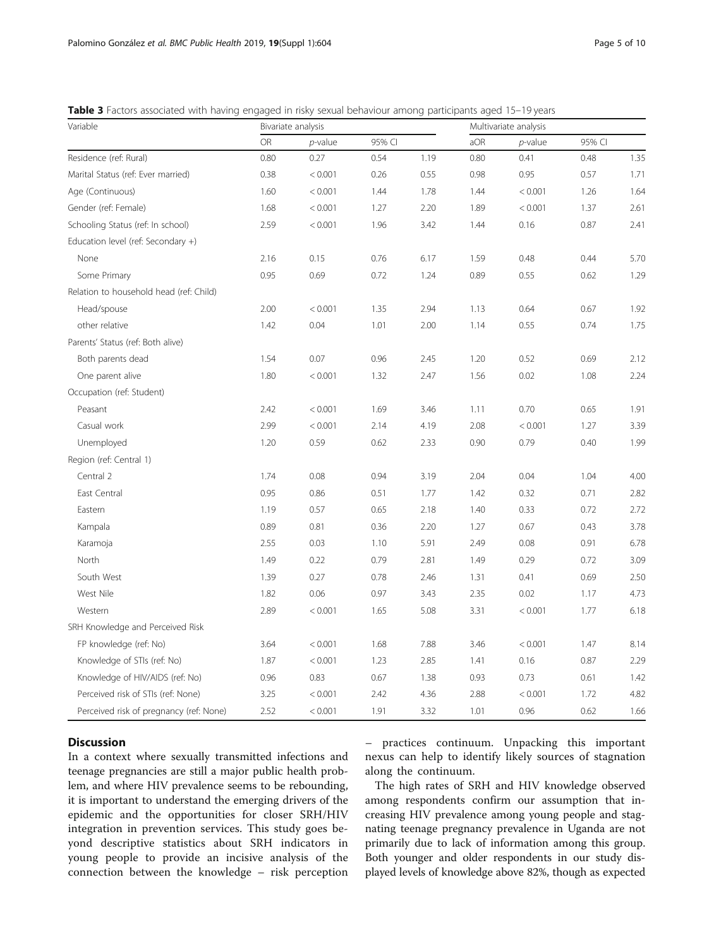<span id="page-4-0"></span>

| Table 3 Factors associated with having engaged in risky sexual behaviour among participants aged 15-19 years |  |  |  |  |  |  |
|--------------------------------------------------------------------------------------------------------------|--|--|--|--|--|--|
|--------------------------------------------------------------------------------------------------------------|--|--|--|--|--|--|

| Variable                                | Bivariate analysis |            |        |      | Multivariate analysis |            |        |      |
|-----------------------------------------|--------------------|------------|--------|------|-----------------------|------------|--------|------|
|                                         | OR                 | $p$ -value | 95% CI |      | aOR                   | $p$ -value | 95% CI |      |
| Residence (ref: Rural)                  | 0.80               | 0.27       | 0.54   | 1.19 | 0.80                  | 0.41       | 0.48   | 1.35 |
| Marital Status (ref: Ever married)      | 0.38               | < 0.001    | 0.26   | 0.55 | 0.98                  | 0.95       | 0.57   | 1.71 |
| Age (Continuous)                        | 1.60               | < 0.001    | 1.44   | 1.78 | 1.44                  | < 0.001    | 1.26   | 1.64 |
| Gender (ref: Female)                    | 1.68               | < 0.001    | 1.27   | 2.20 | 1.89                  | < 0.001    | 1.37   | 2.61 |
| Schooling Status (ref: In school)       | 2.59               | < 0.001    | 1.96   | 3.42 | 1.44                  | 0.16       | 0.87   | 2.41 |
| Education level (ref: Secondary +)      |                    |            |        |      |                       |            |        |      |
| None                                    | 2.16               | 0.15       | 0.76   | 6.17 | 1.59                  | 0.48       | 0.44   | 5.70 |
| Some Primary                            | 0.95               | 0.69       | 0.72   | 1.24 | 0.89                  | 0.55       | 0.62   | 1.29 |
| Relation to household head (ref: Child) |                    |            |        |      |                       |            |        |      |
| Head/spouse                             | 2.00               | < 0.001    | 1.35   | 2.94 | 1.13                  | 0.64       | 0.67   | 1.92 |
| other relative                          | 1.42               | 0.04       | 1.01   | 2.00 | 1.14                  | 0.55       | 0.74   | 1.75 |
| Parents' Status (ref: Both alive)       |                    |            |        |      |                       |            |        |      |
| Both parents dead                       | 1.54               | 0.07       | 0.96   | 2.45 | 1.20                  | 0.52       | 0.69   | 2.12 |
| One parent alive                        | 1.80               | < 0.001    | 1.32   | 2.47 | 1.56                  | 0.02       | 1.08   | 2.24 |
| Occupation (ref: Student)               |                    |            |        |      |                       |            |        |      |
| Peasant                                 | 2.42               | < 0.001    | 1.69   | 3.46 | 1.11                  | 0.70       | 0.65   | 1.91 |
| Casual work                             | 2.99               | < 0.001    | 2.14   | 4.19 | 2.08                  | < 0.001    | 1.27   | 3.39 |
| Unemployed                              | 1.20               | 0.59       | 0.62   | 2.33 | 0.90                  | 0.79       | 0.40   | 1.99 |
| Region (ref: Central 1)                 |                    |            |        |      |                       |            |        |      |
| Central 2                               | 1.74               | 0.08       | 0.94   | 3.19 | 2.04                  | 0.04       | 1.04   | 4.00 |
| East Central                            | 0.95               | 0.86       | 0.51   | 1.77 | 1.42                  | 0.32       | 0.71   | 2.82 |
| Eastern                                 | 1.19               | 0.57       | 0.65   | 2.18 | 1.40                  | 0.33       | 0.72   | 2.72 |
| Kampala                                 | 0.89               | 0.81       | 0.36   | 2.20 | 1.27                  | 0.67       | 0.43   | 3.78 |
| Karamoja                                | 2.55               | 0.03       | 1.10   | 5.91 | 2.49                  | 0.08       | 0.91   | 6.78 |
| North                                   | 1.49               | 0.22       | 0.79   | 2.81 | 1.49                  | 0.29       | 0.72   | 3.09 |
| South West                              | 1.39               | 0.27       | 0.78   | 2.46 | 1.31                  | 0.41       | 0.69   | 2.50 |
| West Nile                               | 1.82               | 0.06       | 0.97   | 3.43 | 2.35                  | 0.02       | 1.17   | 4.73 |
| Western                                 | 2.89               | < 0.001    | 1.65   | 5.08 | 3.31                  | < 0.001    | 1.77   | 6.18 |
| SRH Knowledge and Perceived Risk        |                    |            |        |      |                       |            |        |      |
| FP knowledge (ref: No)                  | 3.64               | < 0.001    | 1.68   | 7.88 | 3.46                  | < 0.001    | 1.47   | 8.14 |
| Knowledge of STIs (ref: No)             | 1.87               | < 0.001    | 1.23   | 2.85 | 1.41                  | 0.16       | 0.87   | 2.29 |
| Knowledge of HIV/AIDS (ref: No)         | 0.96               | 0.83       | 0.67   | 1.38 | 0.93                  | 0.73       | 0.61   | 1.42 |
| Perceived risk of STIs (ref: None)      | 3.25               | < 0.001    | 2.42   | 4.36 | 2.88                  | < 0.001    | 1.72   | 4.82 |
| Perceived risk of pregnancy (ref: None) | 2.52               | < 0.001    | 1.91   | 3.32 | 1.01                  | 0.96       | 0.62   | 1.66 |

## **Discussion**

In a context where sexually transmitted infections and teenage pregnancies are still a major public health problem, and where HIV prevalence seems to be rebounding, it is important to understand the emerging drivers of the epidemic and the opportunities for closer SRH/HIV integration in prevention services. This study goes beyond descriptive statistics about SRH indicators in young people to provide an incisive analysis of the connection between the knowledge – risk perception

– practices continuum. Unpacking this important nexus can help to identify likely sources of stagnation along the continuum.

The high rates of SRH and HIV knowledge observed among respondents confirm our assumption that increasing HIV prevalence among young people and stagnating teenage pregnancy prevalence in Uganda are not primarily due to lack of information among this group. Both younger and older respondents in our study displayed levels of knowledge above 82%, though as expected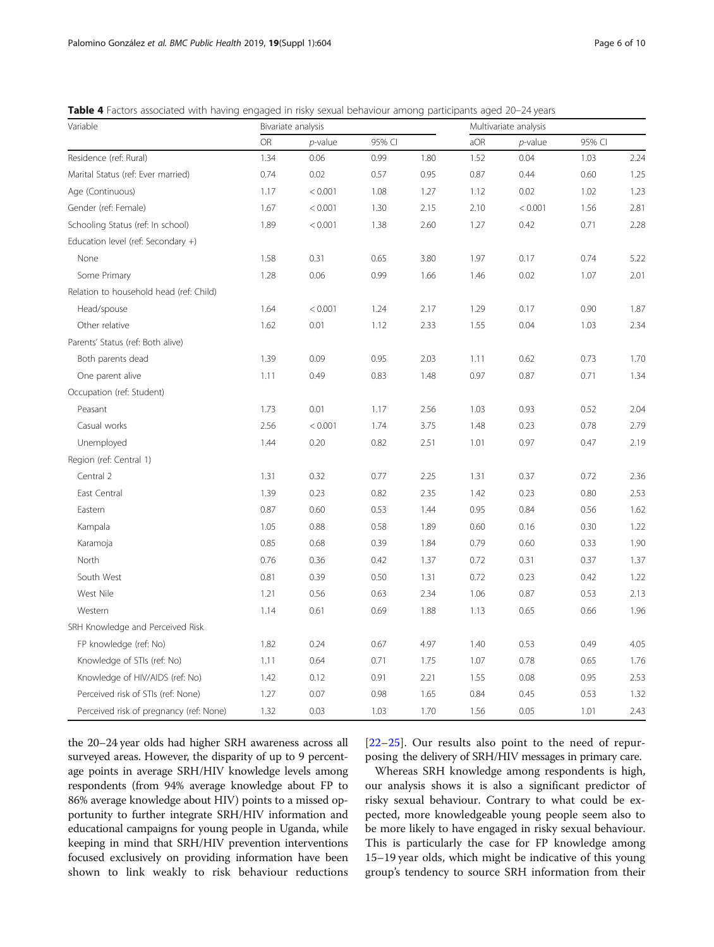<span id="page-5-0"></span>

|  |  |  |  |  |  |  | Table 4 Factors associated with having engaged in risky sexual behaviour among participants aged 20-24 years |
|--|--|--|--|--|--|--|--------------------------------------------------------------------------------------------------------------|
|--|--|--|--|--|--|--|--------------------------------------------------------------------------------------------------------------|

| Variable                                | Bivariate analysis |            |        |      | Multivariate analysis |         |        |      |
|-----------------------------------------|--------------------|------------|--------|------|-----------------------|---------|--------|------|
|                                         | <b>OR</b>          | $p$ -value | 95% CI |      | aOR                   | p-value | 95% CI |      |
| Residence (ref: Rural)                  | 1.34               | 0.06       | 0.99   | 1.80 | 1.52                  | 0.04    | 1.03   | 2.24 |
| Marital Status (ref: Ever married)      | 0.74               | 0.02       | 0.57   | 0.95 | 0.87                  | 0.44    | 0.60   | 1.25 |
| Age (Continuous)                        | 1.17               | < 0.001    | 1.08   | 1.27 | 1.12                  | 0.02    | 1.02   | 1.23 |
| Gender (ref: Female)                    | 1.67               | < 0.001    | 1.30   | 2.15 | 2.10                  | < 0.001 | 1.56   | 2.81 |
| Schooling Status (ref: In school)       | 1.89               | < 0.001    | 1.38   | 2.60 | 1.27                  | 0.42    | 0.71   | 2.28 |
| Education level (ref: Secondary +)      |                    |            |        |      |                       |         |        |      |
| None                                    | 1.58               | 0.31       | 0.65   | 3.80 | 1.97                  | 0.17    | 0.74   | 5.22 |
| Some Primary                            | 1.28               | 0.06       | 0.99   | 1.66 | 1.46                  | 0.02    | 1.07   | 2.01 |
| Relation to household head (ref: Child) |                    |            |        |      |                       |         |        |      |
| Head/spouse                             | 1.64               | < 0.001    | 1.24   | 2.17 | 1.29                  | 0.17    | 0.90   | 1.87 |
| Other relative                          | 1.62               | 0.01       | 1.12   | 2.33 | 1.55                  | 0.04    | 1.03   | 2.34 |
| Parents' Status (ref: Both alive)       |                    |            |        |      |                       |         |        |      |
| Both parents dead                       | 1.39               | 0.09       | 0.95   | 2.03 | 1.11                  | 0.62    | 0.73   | 1.70 |
| One parent alive                        | 1.11               | 0.49       | 0.83   | 1.48 | 0.97                  | 0.87    | 0.71   | 1.34 |
| Occupation (ref: Student)               |                    |            |        |      |                       |         |        |      |
| Peasant                                 | 1.73               | 0.01       | 1.17   | 2.56 | 1.03                  | 0.93    | 0.52   | 2.04 |
| Casual works                            | 2.56               | < 0.001    | 1.74   | 3.75 | 1.48                  | 0.23    | 0.78   | 2.79 |
| Unemployed                              | 1.44               | 0.20       | 0.82   | 2.51 | 1.01                  | 0.97    | 0.47   | 2.19 |
| Region (ref: Central 1)                 |                    |            |        |      |                       |         |        |      |
| Central 2                               | 1.31               | 0.32       | 0.77   | 2.25 | 1.31                  | 0.37    | 0.72   | 2.36 |
| East Central                            | 1.39               | 0.23       | 0.82   | 2.35 | 1.42                  | 0.23    | 0.80   | 2.53 |
| Eastern                                 | 0.87               | 0.60       | 0.53   | 1.44 | 0.95                  | 0.84    | 0.56   | 1.62 |
| Kampala                                 | 1.05               | 0.88       | 0.58   | 1.89 | 0.60                  | 0.16    | 0.30   | 1.22 |
| Karamoja                                | 0.85               | 0.68       | 0.39   | 1.84 | 0.79                  | 0.60    | 0.33   | 1.90 |
| North                                   | 0.76               | 0.36       | 0.42   | 1.37 | 0.72                  | 0.31    | 0.37   | 1.37 |
| South West                              | 0.81               | 0.39       | 0.50   | 1.31 | 0.72                  | 0.23    | 0.42   | 1.22 |
| West Nile                               | 1.21               | 0.56       | 0.63   | 2.34 | 1.06                  | 0.87    | 0.53   | 2.13 |
| Western                                 | 1.14               | 0.61       | 0.69   | 1.88 | 1.13                  | 0.65    | 0.66   | 1.96 |
| SRH Knowledge and Perceived Risk        |                    |            |        |      |                       |         |        |      |
| FP knowledge (ref: No)                  | 1.82               | 0.24       | 0.67   | 4.97 | 1.40                  | 0.53    | 0.49   | 4.05 |
| Knowledge of STIs (ref: No)             | 1.11               | 0.64       | 0.71   | 1.75 | 1.07                  | 0.78    | 0.65   | 1.76 |
| Knowledge of HIV/AIDS (ref: No)         | 1.42               | 0.12       | 0.91   | 2.21 | 1.55                  | 0.08    | 0.95   | 2.53 |
| Perceived risk of STIs (ref: None)      | 1.27               | 0.07       | 0.98   | 1.65 | 0.84                  | 0.45    | 0.53   | 1.32 |
| Perceived risk of pregnancy (ref: None) | 1.32               | 0.03       | 1.03   | 1.70 | 1.56                  | 0.05    | 1.01   | 2.43 |

the 20–24 year olds had higher SRH awareness across all surveyed areas. However, the disparity of up to 9 percentage points in average SRH/HIV knowledge levels among respondents (from 94% average knowledge about FP to 86% average knowledge about HIV) points to a missed opportunity to further integrate SRH/HIV information and educational campaigns for young people in Uganda, while keeping in mind that SRH/HIV prevention interventions focused exclusively on providing information have been shown to link weakly to risk behaviour reductions [[22](#page-8-0)–[25\]](#page-8-0). Our results also point to the need of repurposing the delivery of SRH/HIV messages in primary care.

Whereas SRH knowledge among respondents is high, our analysis shows it is also a significant predictor of risky sexual behaviour. Contrary to what could be expected, more knowledgeable young people seem also to be more likely to have engaged in risky sexual behaviour. This is particularly the case for FP knowledge among 15–19 year olds, which might be indicative of this young group's tendency to source SRH information from their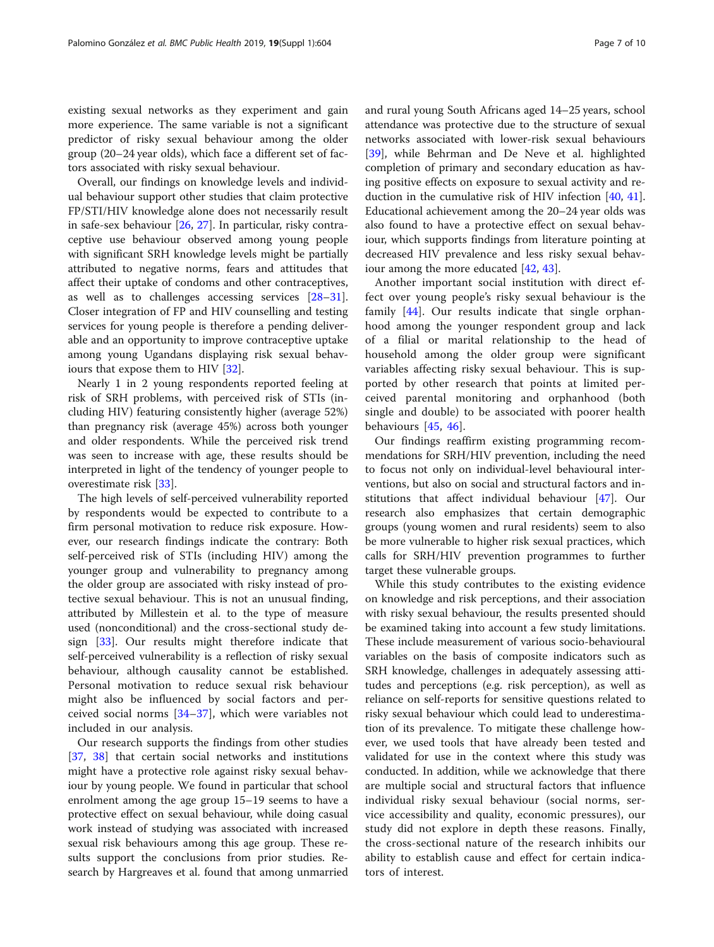existing sexual networks as they experiment and gain more experience. The same variable is not a significant predictor of risky sexual behaviour among the older group (20–24 year olds), which face a different set of factors associated with risky sexual behaviour.

Overall, our findings on knowledge levels and individual behaviour support other studies that claim protective FP/STI/HIV knowledge alone does not necessarily result in safe-sex behaviour [\[26](#page-8-0), [27](#page-8-0)]. In particular, risky contraceptive use behaviour observed among young people with significant SRH knowledge levels might be partially attributed to negative norms, fears and attitudes that affect their uptake of condoms and other contraceptives, as well as to challenges accessing services [[28](#page-8-0)–[31](#page-8-0)]. Closer integration of FP and HIV counselling and testing services for young people is therefore a pending deliverable and an opportunity to improve contraceptive uptake among young Ugandans displaying risk sexual behaviours that expose them to HIV [[32](#page-8-0)].

Nearly 1 in 2 young respondents reported feeling at risk of SRH problems, with perceived risk of STIs (including HIV) featuring consistently higher (average 52%) than pregnancy risk (average 45%) across both younger and older respondents. While the perceived risk trend was seen to increase with age, these results should be interpreted in light of the tendency of younger people to overestimate risk [\[33](#page-8-0)].

The high levels of self-perceived vulnerability reported by respondents would be expected to contribute to a firm personal motivation to reduce risk exposure. However, our research findings indicate the contrary: Both self-perceived risk of STIs (including HIV) among the younger group and vulnerability to pregnancy among the older group are associated with risky instead of protective sexual behaviour. This is not an unusual finding, attributed by Millestein et al. to the type of measure used (nonconditional) and the cross-sectional study design [[33\]](#page-8-0). Our results might therefore indicate that self-perceived vulnerability is a reflection of risky sexual behaviour, although causality cannot be established. Personal motivation to reduce sexual risk behaviour might also be influenced by social factors and perceived social norms [[34](#page-8-0)–[37](#page-8-0)], which were variables not included in our analysis.

Our research supports the findings from other studies [[37,](#page-8-0) [38](#page-8-0)] that certain social networks and institutions might have a protective role against risky sexual behaviour by young people. We found in particular that school enrolment among the age group 15–19 seems to have a protective effect on sexual behaviour, while doing casual work instead of studying was associated with increased sexual risk behaviours among this age group. These results support the conclusions from prior studies. Research by Hargreaves et al. found that among unmarried and rural young South Africans aged 14–25 years, school attendance was protective due to the structure of sexual networks associated with lower-risk sexual behaviours [[39\]](#page-8-0), while Behrman and De Neve et al. highlighted completion of primary and secondary education as having positive effects on exposure to sexual activity and reduction in the cumulative risk of HIV infection [\[40,](#page-8-0) [41](#page-8-0)]. Educational achievement among the 20–24 year olds was also found to have a protective effect on sexual behaviour, which supports findings from literature pointing at decreased HIV prevalence and less risky sexual behaviour among the more educated [[42,](#page-8-0) [43\]](#page-8-0).

Another important social institution with direct effect over young people's risky sexual behaviour is the family [[44\]](#page-8-0). Our results indicate that single orphanhood among the younger respondent group and lack of a filial or marital relationship to the head of household among the older group were significant variables affecting risky sexual behaviour. This is supported by other research that points at limited perceived parental monitoring and orphanhood (both single and double) to be associated with poorer health behaviours [[45,](#page-8-0) [46](#page-8-0)].

Our findings reaffirm existing programming recommendations for SRH/HIV prevention, including the need to focus not only on individual-level behavioural interventions, but also on social and structural factors and institutions that affect individual behaviour [[47\]](#page-9-0). Our research also emphasizes that certain demographic groups (young women and rural residents) seem to also be more vulnerable to higher risk sexual practices, which calls for SRH/HIV prevention programmes to further target these vulnerable groups.

While this study contributes to the existing evidence on knowledge and risk perceptions, and their association with risky sexual behaviour, the results presented should be examined taking into account a few study limitations. These include measurement of various socio-behavioural variables on the basis of composite indicators such as SRH knowledge, challenges in adequately assessing attitudes and perceptions (e.g. risk perception), as well as reliance on self-reports for sensitive questions related to risky sexual behaviour which could lead to underestimation of its prevalence. To mitigate these challenge however, we used tools that have already been tested and validated for use in the context where this study was conducted. In addition, while we acknowledge that there are multiple social and structural factors that influence individual risky sexual behaviour (social norms, service accessibility and quality, economic pressures), our study did not explore in depth these reasons. Finally, the cross-sectional nature of the research inhibits our ability to establish cause and effect for certain indicators of interest.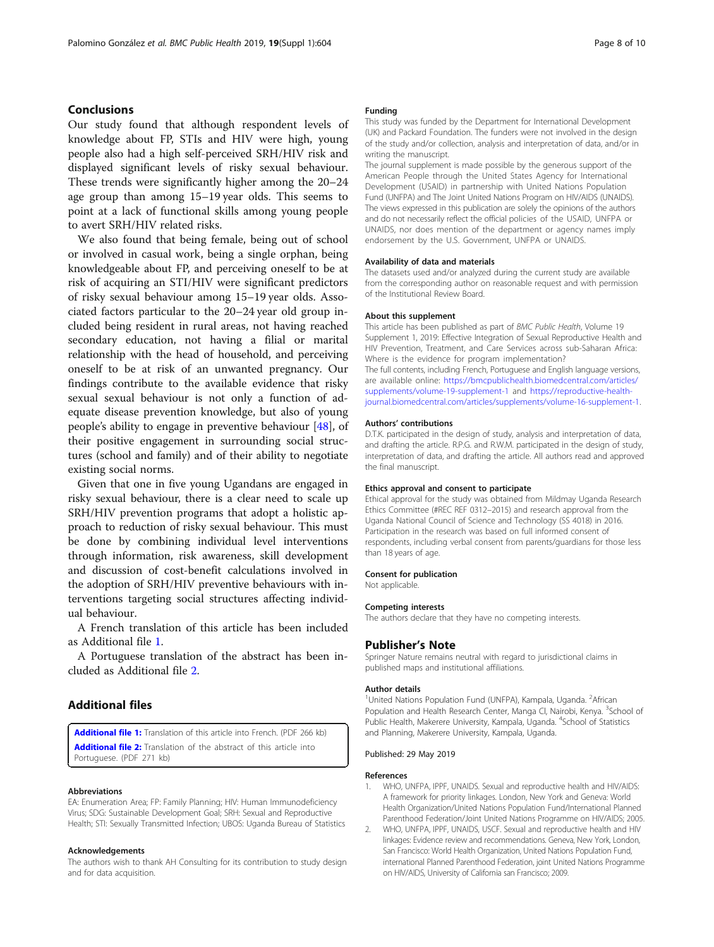## <span id="page-7-0"></span>Conclusions

Our study found that although respondent levels of knowledge about FP, STIs and HIV were high, young people also had a high self-perceived SRH/HIV risk and displayed significant levels of risky sexual behaviour. These trends were significantly higher among the 20–24 age group than among 15–19 year olds. This seems to point at a lack of functional skills among young people to avert SRH/HIV related risks.

We also found that being female, being out of school or involved in casual work, being a single orphan, being knowledgeable about FP, and perceiving oneself to be at risk of acquiring an STI/HIV were significant predictors of risky sexual behaviour among 15–19 year olds. Associated factors particular to the 20–24 year old group included being resident in rural areas, not having reached secondary education, not having a filial or marital relationship with the head of household, and perceiving oneself to be at risk of an unwanted pregnancy. Our findings contribute to the available evidence that risky sexual sexual behaviour is not only a function of adequate disease prevention knowledge, but also of young people's ability to engage in preventive behaviour [\[48](#page-9-0)], of their positive engagement in surrounding social structures (school and family) and of their ability to negotiate existing social norms.

Given that one in five young Ugandans are engaged in risky sexual behaviour, there is a clear need to scale up SRH/HIV prevention programs that adopt a holistic approach to reduction of risky sexual behaviour. This must be done by combining individual level interventions through information, risk awareness, skill development and discussion of cost-benefit calculations involved in the adoption of SRH/HIV preventive behaviours with interventions targeting social structures affecting individual behaviour.

A French translation of this article has been included as Additional file 1.

A Portuguese translation of the abstract has been included as Additional file 2.

## Additional files

[Additional file 1:](https://doi.org/10.1186/s12889-019-6809-y) Translation of this article into French. (PDF 266 kb) [Additional file 2:](https://doi.org/10.1186/s12889-019-6809-y) Translation of the abstract of this article into Portuguese. (PDF 271 kb)

#### Abbreviations

EA: Enumeration Area; FP: Family Planning; HIV: Human Immunodeficiency Virus; SDG: Sustainable Development Goal; SRH: Sexual and Reproductive Health; STI: Sexually Transmitted Infection; UBOS: Uganda Bureau of Statistics

#### Acknowledgements

The authors wish to thank AH Consulting for its contribution to study design and for data acquisition.

### Funding

This study was funded by the Department for International Development (UK) and Packard Foundation. The funders were not involved in the design of the study and/or collection, analysis and interpretation of data, and/or in writing the manuscript.

The journal supplement is made possible by the generous support of the American People through the United States Agency for International Development (USAID) in partnership with United Nations Population Fund (UNFPA) and The Joint United Nations Program on HIV/AIDS (UNAIDS). The views expressed in this publication are solely the opinions of the authors and do not necessarily reflect the official policies of the USAID, UNFPA or UNAIDS, nor does mention of the department or agency names imply endorsement by the U.S. Government, UNFPA or UNAIDS.

#### Availability of data and materials

The datasets used and/or analyzed during the current study are available from the corresponding author on reasonable request and with permission of the Institutional Review Board.

#### About this supplement

This article has been published as part of BMC Public Health, Volume 19 Supplement 1, 2019: Effective Integration of Sexual Reproductive Health and HIV Prevention, Treatment, and Care Services across sub-Saharan Africa: Where is the evidence for program implementation?

The full contents, including French, Portuguese and English language versions, are available online: [https://bmcpublichealth.biomedcentral.com/articles/](https://bmcpublichealth.biomedcentral.com/articles/supplements/volume-19-supplement-1) [supplements/volume-19-supplement-1](https://bmcpublichealth.biomedcentral.com/articles/supplements/volume-19-supplement-1) and [https://reproductive-health](https://reproductive-health-journal.biomedcentral.com/articles/supplements/volume-16-supplement-1)[journal.biomedcentral.com/articles/supplements/volume-16-supplement-1.](https://reproductive-health-journal.biomedcentral.com/articles/supplements/volume-16-supplement-1)

#### Authors' contributions

D.T.K. participated in the design of study, analysis and interpretation of data, and drafting the article. R.P.G. and R.W.M. participated in the design of study, interpretation of data, and drafting the article. All authors read and approved the final manuscript.

#### Ethics approval and consent to participate

Ethical approval for the study was obtained from Mildmay Uganda Research Ethics Committee (#REC REF 0312–2015) and research approval from the Uganda National Council of Science and Technology (SS 4018) in 2016. Participation in the research was based on full informed consent of respondents, including verbal consent from parents/guardians for those less than 18 years of age.

#### Consent for publication

Not applicable.

#### Competing interests

The authors declare that they have no competing interests.

## Publisher's Note

Springer Nature remains neutral with regard to jurisdictional claims in published maps and institutional affiliations.

#### Author details

<sup>1</sup>United Nations Population Fund (UNFPA), Kampala, Uganda. <sup>2</sup>African Population and Health Research Center, Manga Cl, Nairobi, Kenya. <sup>3</sup>School of Public Health, Makerere University, Kampala, Uganda. <sup>4</sup>School of Statistics and Planning, Makerere University, Kampala, Uganda.

#### Published: 29 May 2019

#### References

- 1. WHO, UNFPA, IPPF, UNAIDS. Sexual and reproductive health and HIV/AIDS: A framework for priority linkages. London, New York and Geneva: World Health Organization/United Nations Population Fund/International Planned Parenthood Federation/Joint United Nations Programme on HIV/AIDS; 2005.
- 2. WHO, UNFPA, IPPF, UNAIDS, USCF. Sexual and reproductive health and HIV linkages: Evidence review and recommendations. Geneva, New York, London, San Francisco: World Health Organization, United Nations Population Fund, international Planned Parenthood Federation, joint United Nations Programme on HIV/AIDS, University of California san Francisco; 2009.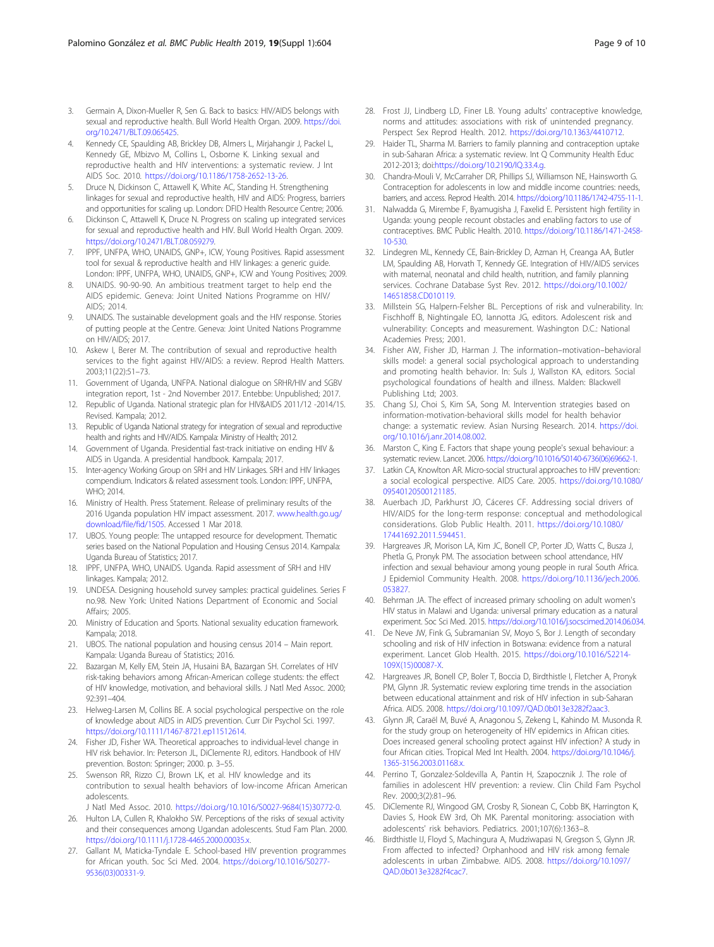- <span id="page-8-0"></span>3. Germain A, Dixon-Mueller R, Sen G. Back to basics: HIV/AIDS belongs with sexual and reproductive health. Bull World Health Organ. 2009. [https://doi.](https://doi.org/10.2471/BLT.09.065425) [org/10.2471/BLT.09.065425.](https://doi.org/10.2471/BLT.09.065425)
- 4. Kennedy CE, Spaulding AB, Brickley DB, Almers L, Mirjahangir J, Packel L, Kennedy GE, Mbizvo M, Collins L, Osborne K. Linking sexual and reproductive health and HIV interventions: a systematic review. J Int AIDS Soc. 2010. <https://doi.org/10.1186/1758-2652-13-26>.
- 5. Druce N, Dickinson C, Attawell K, White AC, Standing H. Strengthening linkages for sexual and reproductive health, HIV and AIDS: Progress, barriers and opportunities for scaling up. London: DFID Health Resource Centre; 2006.
- 6. Dickinson C, Attawell K, Druce N. Progress on scaling up integrated services for sexual and reproductive health and HIV. Bull World Health Organ. 2009. [https://doi.org/10.2471/BLT.08.059279.](https://doi.org/10.2471/BLT.08.059279)
- 7. IPPF, UNFPA, WHO, UNAIDS, GNP+, ICW, Young Positives. Rapid assessment tool for sexual & reproductive health and HIV linkages: a generic guide. London: IPPF, UNFPA, WHO, UNAIDS, GNP+, ICW and Young Positives; 2009.
- UNAIDS. 90-90-90. An ambitious treatment target to help end the AIDS epidemic. Geneva: Joint United Nations Programme on HIV/ AIDS; 2014.
- 9. UNAIDS. The sustainable development goals and the HIV response. Stories of putting people at the Centre. Geneva: Joint United Nations Programme on HIV/AIDS; 2017.
- 10. Askew I, Berer M. The contribution of sexual and reproductive health services to the fight against HIV/AIDS: a review. Reprod Health Matters. 2003;11(22):51–73.
- 11. Government of Uganda, UNFPA. National dialogue on SRHR/HIV and SGBV integration report, 1st - 2nd November 2017. Entebbe: Unpublished; 2017.
- 12. Republic of Uganda. National strategic plan for HIV&AIDS 2011/12 -2014/15. Revised. Kampala; 2012.
- 13. Republic of Uganda National strategy for integration of sexual and reproductive health and rights and HIV/AIDS. Kampala: Ministry of Health; 2012.
- 14. Government of Uganda. Presidential fast-track initiative on ending HIV & AIDS in Uganda. A presidential handbook. Kampala; 2017.
- 15. Inter-agency Working Group on SRH and HIV Linkages. SRH and HIV linkages compendium. Indicators & related assessment tools. London: IPPF, UNFPA, WHO; 2014.
- 16. Ministry of Health. Press Statement. Release of preliminary results of the 2016 Uganda population HIV impact assessment. 2017. [www.health.go.ug/](http://www.health.go.ug/download/file/fid/1505) [download/file/fid/1505.](http://www.health.go.ug/download/file/fid/1505) Accessed 1 Mar 2018.
- 17. UBOS. Young people: The untapped resource for development. Thematic series based on the National Population and Housing Census 2014. Kampala: Uganda Bureau of Statistics; 2017.
- 18. IPPF, UNFPA, WHO, UNAIDS. Uganda. Rapid assessment of SRH and HIV linkages. Kampala; 2012.
- 19. UNDESA. Designing household survey samples: practical guidelines. Series F no.98. New York: United Nations Department of Economic and Social Affairs; 2005.
- 20. Ministry of Education and Sports. National sexuality education framework. Kampala; 2018.
- 21. UBOS. The national population and housing census 2014 Main report. Kampala: Uganda Bureau of Statistics; 2016.
- 22. Bazargan M, Kelly EM, Stein JA, Husaini BA, Bazargan SH. Correlates of HIV risk-taking behaviors among African-American college students: the effect of HIV knowledge, motivation, and behavioral skills. J Natl Med Assoc. 2000; 92:391–404.
- 23. Helweg-Larsen M, Collins BE. A social psychological perspective on the role of knowledge about AIDS in AIDS prevention. Curr Dir Psychol Sci. 1997. <https://doi.org/10.1111/1467-8721.ep11512614>.
- 24. Fisher JD, Fisher WA. Theoretical approaches to individual-level change in HIV risk behavior. In: Peterson JL, DiClemente RJ, editors. Handbook of HIV prevention. Boston: Springer; 2000. p. 3–55.
- 25. Swenson RR, Rizzo CJ, Brown LK, et al. HIV knowledge and its contribution to sexual health behaviors of low-income African American adolescents.
	- J Natl Med Assoc. 2010. [https://doi.org/10.1016/S0027-9684\(15\)30772-0](https://doi.org/10.1016/S0027-9684(15)30772-0).
- 26. Hulton LA, Cullen R, Khalokho SW. Perceptions of the risks of sexual activity and their consequences among Ugandan adolescents. Stud Fam Plan. 2000. <https://doi.org/10.1111/j.1728-4465.2000.00035.x>.
- 27. Gallant M, Maticka-Tyndale E. School-based HIV prevention programmes for African youth. Soc Sci Med. 2004. [https://doi.org/10.1016/S0277-](https://doi.org/10.1016/S0277-9536(03)00331-9) [9536\(03\)00331-9.](https://doi.org/10.1016/S0277-9536(03)00331-9)
- 28. Frost JJ, Lindberg LD, Finer LB. Young adults' contraceptive knowledge, norms and attitudes: associations with risk of unintended pregnancy. Perspect Sex Reprod Health. 2012. <https://doi.org/10.1363/4410712>.
- 29. Haider TL, Sharma M. Barriers to family planning and contraception uptake in sub-Saharan Africa: a systematic review. Int Q Community Health Educ 2012-2013; doi:[https://doi.org/10.2190/IQ.33.4.g.](https://doi.org/10.2190/IQ.33.4.g)
- 30. Chandra-Mouli V, McCarraher DR, Phillips SJ, Williamson NE, Hainsworth G. Contraception for adolescents in low and middle income countries: needs, barriers, and access. Reprod Health. 2014. <https://doi.org/10.1186/1742-4755-11-1>.
- 31. Nalwadda G, Mirembe F, Byamugisha J, Faxelid E. Persistent high fertility in Uganda: young people recount obstacles and enabling factors to use of contraceptives. BMC Public Health. 2010. [https://doi.org/10.1186/1471-2458-](https://doi.org/10.1186/1471-2458-10-530) [10-530.](https://doi.org/10.1186/1471-2458-10-530)
- 32. Lindegren ML, Kennedy CE, Bain-Brickley D, Azman H, Creanga AA, Butler LM, Spaulding AB, Horvath T, Kennedy GE. Integration of HIV/AIDS services with maternal, neonatal and child health, nutrition, and family planning services. Cochrane Database Syst Rev. 2012. [https://doi.org/10.1002/](https://doi.org/10.1002/14651858.CD010119.) [14651858.CD010119.](https://doi.org/10.1002/14651858.CD010119.)
- 33. Millstein SG, Halpern-Felsher BL. Perceptions of risk and vulnerability. In: Fischhoff B, Nightingale EO, Iannotta JG, editors. Adolescent risk and vulnerability: Concepts and measurement. Washington D.C.: National Academies Press; 2001.
- 34. Fisher AW, Fisher JD, Harman J. The information–motivation–behavioral skills model: a general social psychological approach to understanding and promoting health behavior. In: Suls J, Wallston KA, editors. Social psychological foundations of health and illness. Malden: Blackwell Publishing Ltd; 2003.
- 35. Chang SJ, Choi S, Kim SA, Song M. Intervention strategies based on information-motivation-behavioral skills model for health behavior change: a systematic review. Asian Nursing Research. 2014. [https://doi.](https://doi.org/10.1016/j.anr.2014.08.002) [org/10.1016/j.anr.2014.08.002.](https://doi.org/10.1016/j.anr.2014.08.002)
- 36. Marston C, King E. Factors that shape young people's sexual behaviour: a systematic review. Lancet. 2006. [https://doi.org/10.1016/S0140-6736\(06\)69662-1.](https://doi.org/10.1016/S0140-6736(06)69662-1)
- 37. Latkin CA, Knowlton AR. Micro-social structural approaches to HIV prevention: a social ecological perspective. AIDS Care. 2005. [https://doi.org/10.1080/](https://doi.org/10.1080/09540120500121185) [09540120500121185](https://doi.org/10.1080/09540120500121185).
- 38. Auerbach JD, Parkhurst JO, Cáceres CF. Addressing social drivers of HIV/AIDS for the long-term response: conceptual and methodological considerations. Glob Public Health. 2011. [https://doi.org/10.1080/](https://doi.org/10.1080/17441692.2011.594451) [17441692.2011.594451](https://doi.org/10.1080/17441692.2011.594451).
- 39. Hargreaves JR, Morison LA, Kim JC, Bonell CP, Porter JD, Watts C, Busza J, Phetla G, Pronyk PM. The association between school attendance, HIV infection and sexual behaviour among young people in rural South Africa. J Epidemiol Community Health. 2008. [https://doi.org/10.1136/jech.2006.](https://doi.org/10.1136/jech.2006.053827) [053827.](https://doi.org/10.1136/jech.2006.053827)
- 40. Behrman JA. The effect of increased primary schooling on adult women's HIV status in Malawi and Uganda: universal primary education as a natural experiment. Soc Sci Med. 2015. <https://doi.org/10.1016/j.socscimed.2014.06.034>.
- 41. De Neve JW, Fink G, Subramanian SV, Moyo S, Bor J. Length of secondary schooling and risk of HIV infection in Botswana: evidence from a natural experiment. Lancet Glob Health. 2015. [https://doi.org/10.1016/S2214-](https://doi.org/10.1016/S2214-109X(15)00087-X) [109X\(15\)00087-X.](https://doi.org/10.1016/S2214-109X(15)00087-X)
- 42. Hargreaves JR, Bonell CP, Boler T, Boccia D, Birdthistle I, Fletcher A, Pronyk PM, Glynn JR. Systematic review exploring time trends in the association between educational attainment and risk of HIV infection in sub-Saharan Africa. AIDS. 2008. <https://doi.org/10.1097/QAD.0b013e3282f2aac3>.
- 43. Glynn JR, Caraël M, Buvé A, Anagonou S, Zekeng L, Kahindo M. Musonda R. for the study group on heterogeneity of HIV epidemics in African cities. Does increased general schooling protect against HIV infection? A study in four African cities. Tropical Med Int Health. 2004. [https://doi.org/10.1046/j.](https://doi.org/10.1046/j.1365-3156.2003.01168.x.) [1365-3156.2003.01168.x.](https://doi.org/10.1046/j.1365-3156.2003.01168.x.)
- 44. Perrino T, Gonzalez-Soldevilla A, Pantin H, Szapocznik J. The role of families in adolescent HIV prevention: a review. Clin Child Fam Psychol Rev. 2000;3(2):81–96.
- 45. DiClemente RJ, Wingood GM, Crosby R, Sionean C, Cobb BK, Harrington K, Davies S, Hook EW 3rd, Oh MK. Parental monitoring: association with adolescents' risk behaviors. Pediatrics. 2001;107(6):1363–8.
- 46. Birdthistle IJ, Floyd S, Machingura A, Mudziwapasi N, Gregson S, Glynn JR. From affected to infected? Orphanhood and HIV risk among female adolescents in urban Zimbabwe. AIDS. 2008. [https://doi.org/10.1097/](https://doi.org/10.1097/QAD.0b013e3282f4cac7) [QAD.0b013e3282f4cac7.](https://doi.org/10.1097/QAD.0b013e3282f4cac7)